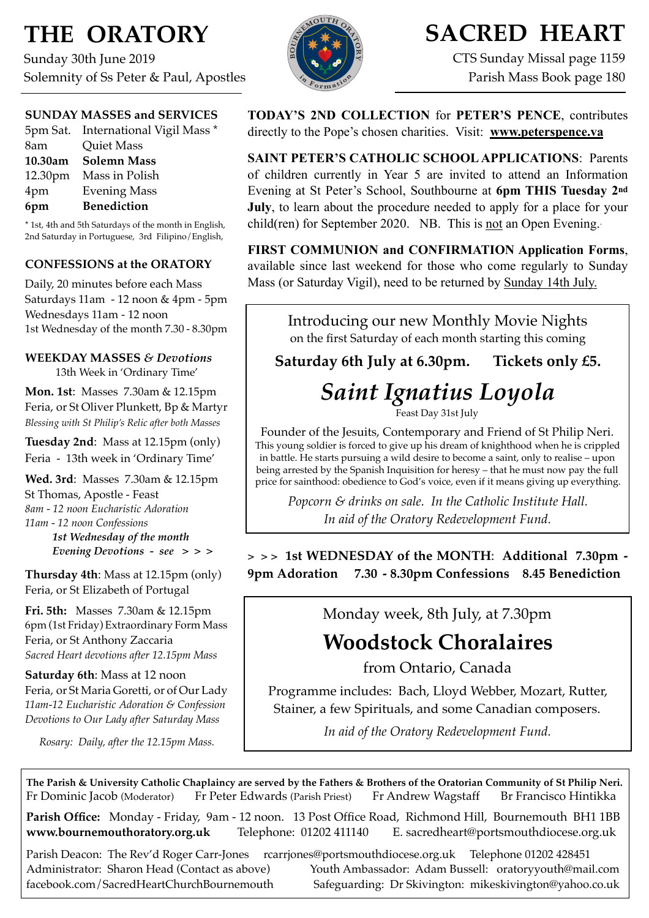## **THE ORATORY**

Sunday 30th June 2019 Solemnity of Ss Peter & Paul, Apostles

## **SUNDAY MASSES and SERVICES**

|         | 5pm Sat. International Vigil Mass * |
|---------|-------------------------------------|
| 8am     | <b>Quiet Mass</b>                   |
| 10.30am | <b>Solemn Mass</b>                  |
|         | 12.30pm Mass in Polish              |
| 4pm     | <b>Evening Mass</b>                 |
| 6pm     | <b>Benediction</b>                  |

\* 1st, 4th and 5th Saturdays of the month in English, 2nd Saturday in Portuguese, 3rd Filipino/English,

### **CONFESSIONS at the ORATORY**

Daily, 20 minutes before each Mass Saturdays 11am - 12 noon & 4pm - 5pm Wednesdays 11am - 12 noon 1st Wednesday of the month 7.30 - 8.30pm

#### **WEEKDAY MASSES** *& Devotions* 13th Week in 'Ordinary Time'

**Mon. 1st**: Masses 7.30am & 12.15pm Feria, or St Oliver Plunkett, Bp & Martyr

*Blessing with St Philip's Relic after both Masses*

**Tuesday 2nd**: Mass at 12.15pm (only) Feria - 13th week in 'Ordinary Time'

**Wed. 3rd**: Masses7.30am & 12.15pm St Thomas, Apostle - Feast *8am - 12 noon Eucharistic Adoration 11am - 12 noon Confessions 1st Wednesday of the month Evening Devotions - see > > >*

**Thursday 4th**: Mass at 12.15pm (only) Feria, or St Elizabeth of Portugal

**Fri. 5th:** Masses 7.30am & 12.15pm 6pm (1st Friday) Extraordinary Form Mass Feria, or St Anthony Zaccaria *Sacred Heart devotions after 12.15pm Mass*

**Saturday 6th**: Mass at 12 noon Feria, or St Maria Goretti, or of Our Lady *11am-12 Eucharistic Adoration & Confession Devotions to Our Lady after Saturday Mass*

*Rosary: Daily, after the 12.15pm Mass.*



## **SACRED HEART**

CTS Sunday Missal page 1159 Parish Mass Book page 180

**TODAY'S 2ND COLLECTION** for **PETER'S PENCE**, contributes directly to the Pope's chosen charities. Visit: **[www.peterspence.va](http://www.peterspence.va)**

**SAINT PETER'S CATHOLIC SCHOOL APPLICATIONS**: Parents of children currently in Year 5 are invited to attend an Information Evening at St Peter's School, Southbourne at **6pm THIS Tuesday 2nd July**, to learn about the procedure needed to apply for a place for your child(ren) for September 2020. NB. This is not an Open Evening.

**FIRST COMMUNION and CONFIRMATION Application Forms**, available since last weekend for those who come regularly to Sunday Mass (or Saturday Vigil), need to be returned by Sunday 14th July.

> Introducing our new Monthly Movie Nights on the first Saturday of each month starting this coming

**Saturday 6th July at 6.30pm. Tickets only £5.**

# *Saint Ignatius Loyola*

Feast Day 31st July

Founder of the Jesuits, Contemporary and Friend of St Philip Neri. This young soldier is forced to give up his dream of knighthood when he is crippled in battle. He starts pursuing a wild desire to become a saint, only to realise – upon being arrested by the Spanish Inquisition for heresy – that he must now pay the full price for sainthood: obedience to God's voice, even if it means giving up everything.

*Popcorn & drinks on sale. In the Catholic Institute Hall. In aid of the Oratory Redevelopment Fund*.

**> > > 1st WEDNESDAY of the MONTH**: **Additional 7.30pm - 9pm Adoration 7.30 - 8.30pm Confessions 8.45 Benediction**

Monday week, 8th July, at 7.30pm

**Woodstock Choralaires**

from Ontario, Canada

Programme includes: Bach, Lloyd Webber, Mozart, Rutter, Stainer, a few Spirituals, and some Canadian composers.

*In aid of the Oratory Redevelopment Fund.*

**The Parish & University Catholic Chaplaincy are served by the Fathers & Brothers of the Oratorian Community of St Philip Neri.** Fr Dominic Jacob (Moderator) Fr Peter Edwards (Parish Priest) Fr Andrew Wagstaff Br Francisco Hintikka

**Parish Office:** Monday - Friday, 9am - 12 noon. 13 Post Office Road, Richmond Hill, Bournemouth BH1 1BB **[www.bournemouthoratory.org.uk](http://www.bournemoithoratory.org.uk)** Telephone: 01202 411140 E. [sacredheart@portsmouthdiocese.org.uk](mailto:sacredheart@portsmouthdiocese.org.uk)

Parish Deacon: The Rev'd Roger Carr-Jones [rcarrjones@portsmouthdiocese.org.uk](mailto:rcarrjones@portsmouthdiocese.org.uk) Telephone 01202 428451 Administrator: Sharon Head (Contact as above) Youth Ambassador: Adam Bussell: [oratoryyouth@mail.com](http://oratoryyouth.mail.com) [facebook.com/SacredHeartChurchBournemouth](http://facebook.com/SaccredHeartChurchBournemouth) Safeguarding: Dr Skivington: mikeskivington@yahoo.co.uk